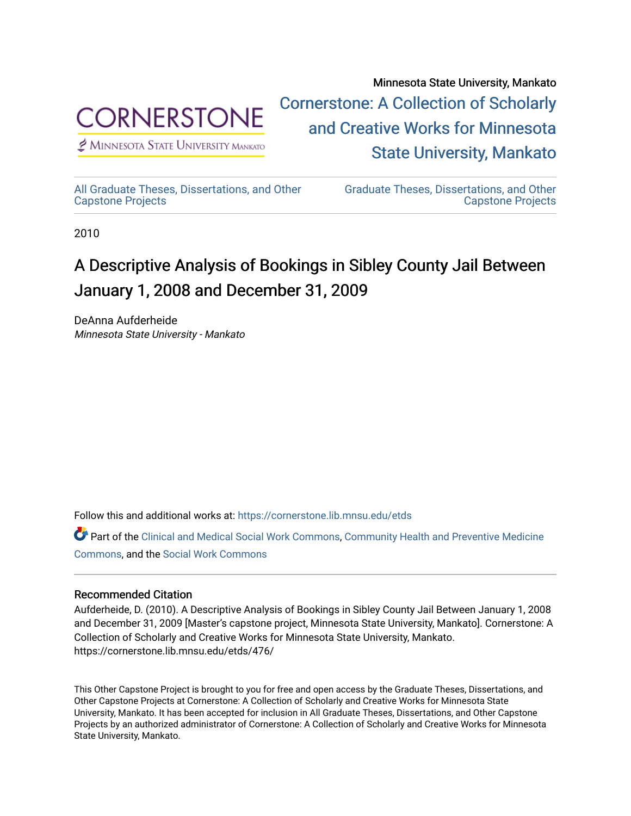

 $<sup>2</sup>$  Minnesota State University Mankato</sup>

Minnesota State University, Mankato [Cornerstone: A Collection of Scholarly](https://cornerstone.lib.mnsu.edu/)  [and Creative Works for Minnesota](https://cornerstone.lib.mnsu.edu/)  [State University, Mankato](https://cornerstone.lib.mnsu.edu/) 

[All Graduate Theses, Dissertations, and Other](https://cornerstone.lib.mnsu.edu/etds)  [Capstone Projects](https://cornerstone.lib.mnsu.edu/etds) 

[Graduate Theses, Dissertations, and Other](https://cornerstone.lib.mnsu.edu/theses_dissertations-capstone)  [Capstone Projects](https://cornerstone.lib.mnsu.edu/theses_dissertations-capstone) 

2010

## A Descriptive Analysis of Bookings in Sibley County Jail Between January 1, 2008 and December 31, 2009

DeAnna Aufderheide Minnesota State University - Mankato

Follow this and additional works at: [https://cornerstone.lib.mnsu.edu/etds](https://cornerstone.lib.mnsu.edu/etds?utm_source=cornerstone.lib.mnsu.edu%2Fetds%2F476&utm_medium=PDF&utm_campaign=PDFCoverPages) 

Part of the [Clinical and Medical Social Work Commons,](http://network.bepress.com/hgg/discipline/712?utm_source=cornerstone.lib.mnsu.edu%2Fetds%2F476&utm_medium=PDF&utm_campaign=PDFCoverPages) Community Health and Preventive Medicine [Commons](http://network.bepress.com/hgg/discipline/744?utm_source=cornerstone.lib.mnsu.edu%2Fetds%2F476&utm_medium=PDF&utm_campaign=PDFCoverPages), and the [Social Work Commons](http://network.bepress.com/hgg/discipline/713?utm_source=cornerstone.lib.mnsu.edu%2Fetds%2F476&utm_medium=PDF&utm_campaign=PDFCoverPages)

### Recommended Citation

Aufderheide, D. (2010). A Descriptive Analysis of Bookings in Sibley County Jail Between January 1, 2008 and December 31, 2009 [Master's capstone project, Minnesota State University, Mankato]. Cornerstone: A Collection of Scholarly and Creative Works for Minnesota State University, Mankato. https://cornerstone.lib.mnsu.edu/etds/476/

This Other Capstone Project is brought to you for free and open access by the Graduate Theses, Dissertations, and Other Capstone Projects at Cornerstone: A Collection of Scholarly and Creative Works for Minnesota State University, Mankato. It has been accepted for inclusion in All Graduate Theses, Dissertations, and Other Capstone Projects by an authorized administrator of Cornerstone: A Collection of Scholarly and Creative Works for Minnesota State University, Mankato.